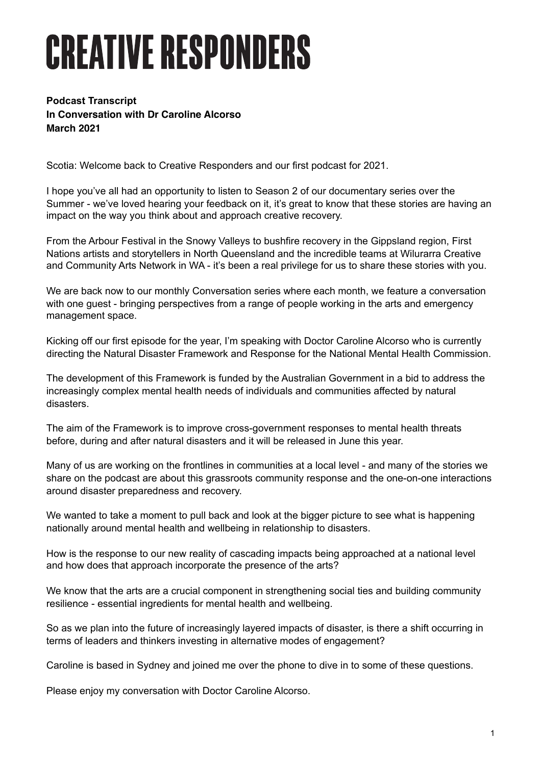## **CREATIVE RESPONDERS**

## **Podcast Transcript In Conversation with Dr Caroline Alcorso March 2021**

Scotia: Welcome back to Creative Responders and our first podcast for 2021.

I hope you've all had an opportunity to listen to Season 2 of our documentary series over the Summer - we've loved hearing your feedback on it, it's great to know that these stories are having an impact on the way you think about and approach creative recovery.

From the Arbour Festival in the Snowy Valleys to bushfire recovery in the Gippsland region, First Nations artists and storytellers in North Queensland and the incredible teams at Wilurarra Creative and Community Arts Network in WA - it's been a real privilege for us to share these stories with you.

We are back now to our monthly Conversation series where each month, we feature a conversation with one guest - bringing perspectives from a range of people working in the arts and emergency management space.

Kicking off our first episode for the year, I'm speaking with Doctor Caroline Alcorso who is currently directing the Natural Disaster Framework and Response for the National Mental Health Commission.

The development of this Framework is funded by the Australian Government in a bid to address the increasingly complex mental health needs of individuals and communities affected by natural disasters.

The aim of the Framework is to improve cross-government responses to mental health threats before, during and after natural disasters and it will be released in June this year.

Many of us are working on the frontlines in communities at a local level - and many of the stories we share on the podcast are about this grassroots community response and the one-on-one interactions around disaster preparedness and recovery.

We wanted to take a moment to pull back and look at the bigger picture to see what is happening nationally around mental health and wellbeing in relationship to disasters.

How is the response to our new reality of cascading impacts being approached at a national level and how does that approach incorporate the presence of the arts?

We know that the arts are a crucial component in strengthening social ties and building community resilience - essential ingredients for mental health and wellbeing.

So as we plan into the future of increasingly layered impacts of disaster, is there a shift occurring in terms of leaders and thinkers investing in alternative modes of engagement?

Caroline is based in Sydney and joined me over the phone to dive in to some of these questions.

Please enjoy my conversation with Doctor Caroline Alcorso.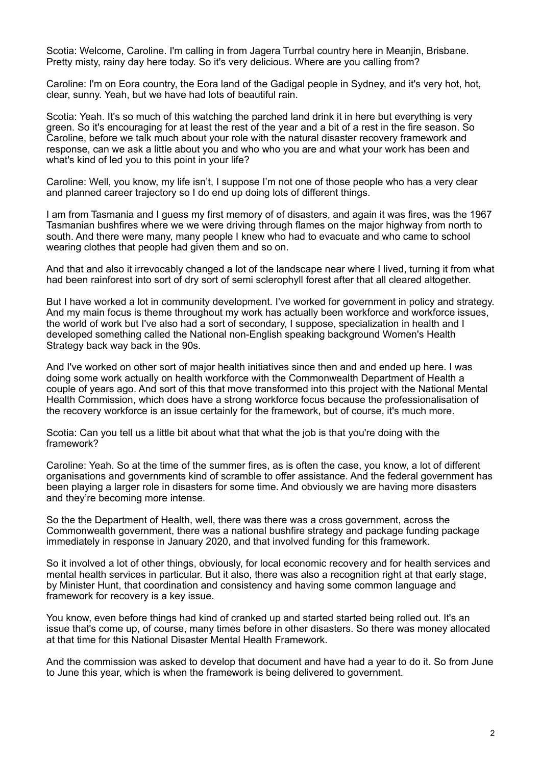Scotia: Welcome, Caroline. I'm calling in from Jagera Turrbal country here in Meanjin, Brisbane. Pretty misty, rainy day here today. So it's very delicious. Where are you calling from?

Caroline: I'm on Eora country, the Eora land of the Gadigal people in Sydney, and it's very hot, hot, clear, sunny. Yeah, but we have had lots of beautiful rain.

Scotia: Yeah. It's so much of this watching the parched land drink it in here but everything is very green. So it's encouraging for at least the rest of the year and a bit of a rest in the fire season. So Caroline, before we talk much about your role with the natural disaster recovery framework and response, can we ask a little about you and who who you are and what your work has been and what's kind of led you to this point in your life?

Caroline: Well, you know, my life isn't, I suppose I'm not one of those people who has a very clear and planned career trajectory so I do end up doing lots of different things.

I am from Tasmania and I guess my first memory of of disasters, and again it was fires, was the 1967 Tasmanian bushfires where we we were driving through flames on the major highway from north to south. And there were many, many people I knew who had to evacuate and who came to school wearing clothes that people had given them and so on.

And that and also it irrevocably changed a lot of the landscape near where I lived, turning it from what had been rainforest into sort of dry sort of semi sclerophyll forest after that all cleared altogether.

But I have worked a lot in community development. I've worked for government in policy and strategy. And my main focus is theme throughout my work has actually been workforce and workforce issues, the world of work but I've also had a sort of secondary, I suppose, specialization in health and I developed something called the National non-English speaking background Women's Health Strategy back way back in the 90s.

And I've worked on other sort of major health initiatives since then and and ended up here. I was doing some work actually on health workforce with the Commonwealth Department of Health a couple of years ago. And sort of this that move transformed into this project with the National Mental Health Commission, which does have a strong workforce focus because the professionalisation of the recovery workforce is an issue certainly for the framework, but of course, it's much more.

Scotia: Can you tell us a little bit about what that what the job is that you're doing with the framework?

Caroline: Yeah. So at the time of the summer fires, as is often the case, you know, a lot of different organisations and governments kind of scramble to offer assistance. And the federal government has been playing a larger role in disasters for some time. And obviously we are having more disasters and they're becoming more intense.

So the the Department of Health, well, there was there was a cross government, across the Commonwealth government, there was a national bushfire strategy and package funding package immediately in response in January 2020, and that involved funding for this framework.

So it involved a lot of other things, obviously, for local economic recovery and for health services and mental health services in particular. But it also, there was also a recognition right at that early stage, by Minister Hunt, that coordination and consistency and having some common language and framework for recovery is a key issue.

You know, even before things had kind of cranked up and started started being rolled out. It's an issue that's come up, of course, many times before in other disasters. So there was money allocated at that time for this National Disaster Mental Health Framework.

And the commission was asked to develop that document and have had a year to do it. So from June to June this year, which is when the framework is being delivered to government.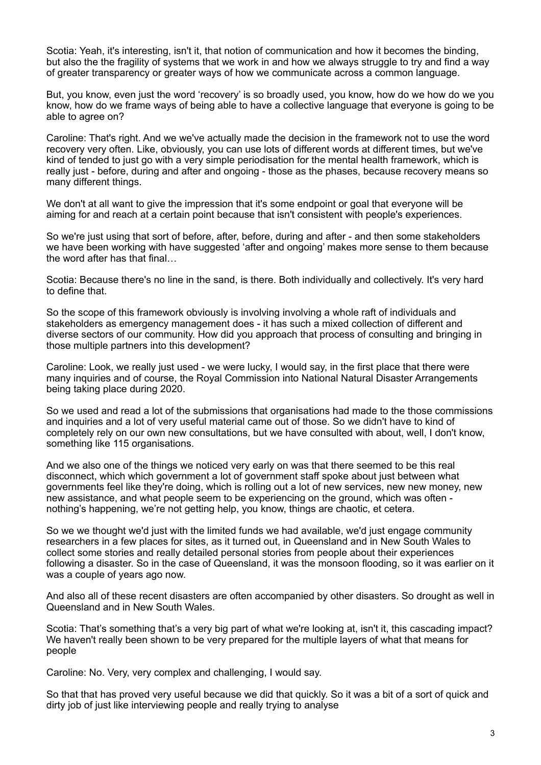Scotia: Yeah, it's interesting, isn't it, that notion of communication and how it becomes the binding, but also the the fragility of systems that we work in and how we always struggle to try and find a way of greater transparency or greater ways of how we communicate across a common language.

But, you know, even just the word 'recovery' is so broadly used, you know, how do we how do we you know, how do we frame ways of being able to have a collective language that everyone is going to be able to agree on?

Caroline: That's right. And we we've actually made the decision in the framework not to use the word recovery very often. Like, obviously, you can use lots of different words at different times, but we've kind of tended to just go with a very simple periodisation for the mental health framework, which is really just - before, during and after and ongoing - those as the phases, because recovery means so many different things.

We don't at all want to give the impression that it's some endpoint or goal that everyone will be aiming for and reach at a certain point because that isn't consistent with people's experiences.

So we're just using that sort of before, after, before, during and after - and then some stakeholders we have been working with have suggested 'after and ongoing' makes more sense to them because the word after has that final…

Scotia: Because there's no line in the sand, is there. Both individually and collectively. It's very hard to define that.

So the scope of this framework obviously is involving involving a whole raft of individuals and stakeholders as emergency management does - it has such a mixed collection of different and diverse sectors of our community. How did you approach that process of consulting and bringing in those multiple partners into this development?

Caroline: Look, we really just used - we were lucky, I would say, in the first place that there were many inquiries and of course, the Royal Commission into National Natural Disaster Arrangements being taking place during 2020.

So we used and read a lot of the submissions that organisations had made to the those commissions and inquiries and a lot of very useful material came out of those. So we didn't have to kind of completely rely on our own new consultations, but we have consulted with about, well, I don't know, something like 115 organisations.

And we also one of the things we noticed very early on was that there seemed to be this real disconnect, which which government a lot of government staff spoke about just between what governments feel like they're doing, which is rolling out a lot of new services, new new money, new new assistance, and what people seem to be experiencing on the ground, which was often nothing's happening, we're not getting help, you know, things are chaotic, et cetera.

So we we thought we'd just with the limited funds we had available, we'd just engage community researchers in a few places for sites, as it turned out, in Queensland and in New South Wales to collect some stories and really detailed personal stories from people about their experiences following a disaster. So in the case of Queensland, it was the monsoon flooding, so it was earlier on it was a couple of years ago now.

And also all of these recent disasters are often accompanied by other disasters. So drought as well in Queensland and in New South Wales.

Scotia: That's something that's a very big part of what we're looking at, isn't it, this cascading impact? We haven't really been shown to be very prepared for the multiple layers of what that means for people

Caroline: No. Very, very complex and challenging, I would say.

So that that has proved very useful because we did that quickly. So it was a bit of a sort of quick and dirty job of just like interviewing people and really trying to analyse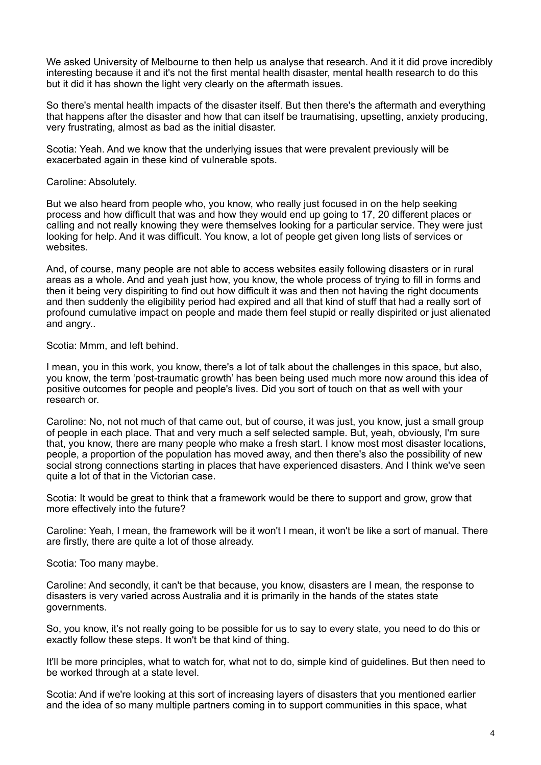We asked University of Melbourne to then help us analyse that research. And it it did prove incredibly interesting because it and it's not the first mental health disaster, mental health research to do this but it did it has shown the light very clearly on the aftermath issues.

So there's mental health impacts of the disaster itself. But then there's the aftermath and everything that happens after the disaster and how that can itself be traumatising, upsetting, anxiety producing, very frustrating, almost as bad as the initial disaster.

Scotia: Yeah. And we know that the underlying issues that were prevalent previously will be exacerbated again in these kind of vulnerable spots.

Caroline: Absolutely.

But we also heard from people who, you know, who really just focused in on the help seeking process and how difficult that was and how they would end up going to 17, 20 different places or calling and not really knowing they were themselves looking for a particular service. They were just looking for help. And it was difficult. You know, a lot of people get given long lists of services or websites.

And, of course, many people are not able to access websites easily following disasters or in rural areas as a whole. And and yeah just how, you know, the whole process of trying to fill in forms and then it being very dispiriting to find out how difficult it was and then not having the right documents and then suddenly the eligibility period had expired and all that kind of stuff that had a really sort of profound cumulative impact on people and made them feel stupid or really dispirited or just alienated and angry..

Scotia: Mmm, and left behind.

I mean, you in this work, you know, there's a lot of talk about the challenges in this space, but also, you know, the term 'post-traumatic growth' has been being used much more now around this idea of positive outcomes for people and people's lives. Did you sort of touch on that as well with your research or.

Caroline: No, not not much of that came out, but of course, it was just, you know, just a small group of people in each place. That and very much a self selected sample. But, yeah, obviously, I'm sure that, you know, there are many people who make a fresh start. I know most most disaster locations, people, a proportion of the population has moved away, and then there's also the possibility of new social strong connections starting in places that have experienced disasters. And I think we've seen quite a lot of that in the Victorian case.

Scotia: It would be great to think that a framework would be there to support and grow, grow that more effectively into the future?

Caroline: Yeah, I mean, the framework will be it won't I mean, it won't be like a sort of manual. There are firstly, there are quite a lot of those already.

Scotia: Too many maybe.

Caroline: And secondly, it can't be that because, you know, disasters are I mean, the response to disasters is very varied across Australia and it is primarily in the hands of the states state governments.

So, you know, it's not really going to be possible for us to say to every state, you need to do this or exactly follow these steps. It won't be that kind of thing.

It'll be more principles, what to watch for, what not to do, simple kind of guidelines. But then need to be worked through at a state level.

Scotia: And if we're looking at this sort of increasing layers of disasters that you mentioned earlier and the idea of so many multiple partners coming in to support communities in this space, what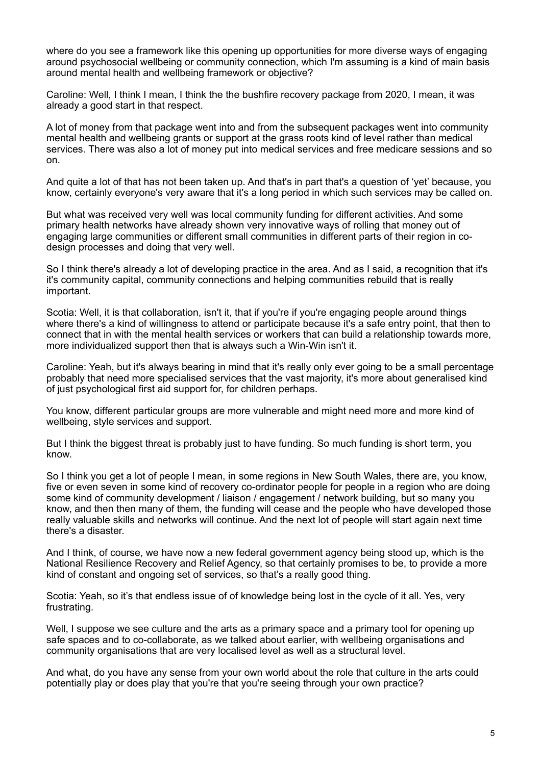where do you see a framework like this opening up opportunities for more diverse ways of engaging around psychosocial wellbeing or community connection, which I'm assuming is a kind of main basis around mental health and wellbeing framework or objective?

Caroline: Well, I think I mean, I think the the bushfire recovery package from 2020, I mean, it was already a good start in that respect.

A lot of money from that package went into and from the subsequent packages went into community mental health and wellbeing grants or support at the grass roots kind of level rather than medical services. There was also a lot of money put into medical services and free medicare sessions and so on.

And quite a lot of that has not been taken up. And that's in part that's a question of 'yet' because, you know, certainly everyone's very aware that it's a long period in which such services may be called on.

But what was received very well was local community funding for different activities. And some primary health networks have already shown very innovative ways of rolling that money out of engaging large communities or different small communities in different parts of their region in codesign processes and doing that very well.

So I think there's already a lot of developing practice in the area. And as I said, a recognition that it's it's community capital, community connections and helping communities rebuild that is really important.

Scotia: Well, it is that collaboration, isn't it, that if you're if you're engaging people around things where there's a kind of willingness to attend or participate because it's a safe entry point, that then to connect that in with the mental health services or workers that can build a relationship towards more, more individualized support then that is always such a Win-Win isn't it.

Caroline: Yeah, but it's always bearing in mind that it's really only ever going to be a small percentage probably that need more specialised services that the vast majority, it's more about generalised kind of just psychological first aid support for, for children perhaps.

You know, different particular groups are more vulnerable and might need more and more kind of wellbeing, style services and support.

But I think the biggest threat is probably just to have funding. So much funding is short term, you know.

So I think you get a lot of people I mean, in some regions in New South Wales, there are, you know, five or even seven in some kind of recovery co-ordinator people for people in a region who are doing some kind of community development / liaison / engagement / network building, but so many you know, and then then many of them, the funding will cease and the people who have developed those really valuable skills and networks will continue. And the next lot of people will start again next time there's a disaster.

And I think, of course, we have now a new federal government agency being stood up, which is the National Resilience Recovery and Relief Agency, so that certainly promises to be, to provide a more kind of constant and ongoing set of services, so that's a really good thing.

Scotia: Yeah, so it's that endless issue of of knowledge being lost in the cycle of it all. Yes, very frustrating.

Well, I suppose we see culture and the arts as a primary space and a primary tool for opening up safe spaces and to co-collaborate, as we talked about earlier, with wellbeing organisations and community organisations that are very localised level as well as a structural level.

And what, do you have any sense from your own world about the role that culture in the arts could potentially play or does play that you're that you're seeing through your own practice?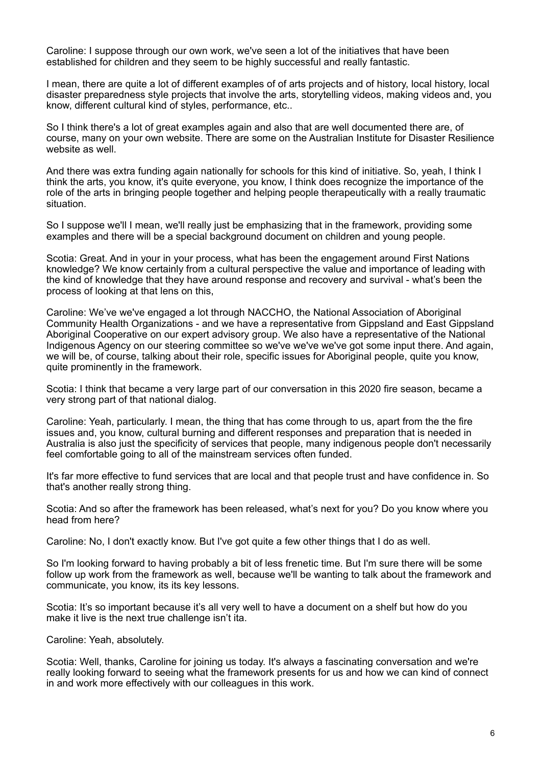Caroline: I suppose through our own work, we've seen a lot of the initiatives that have been established for children and they seem to be highly successful and really fantastic.

I mean, there are quite a lot of different examples of of arts projects and of history, local history, local disaster preparedness style projects that involve the arts, storytelling videos, making videos and, you know, different cultural kind of styles, performance, etc..

So I think there's a lot of great examples again and also that are well documented there are, of course, many on your own website. There are some on the Australian Institute for Disaster Resilience website as well.

And there was extra funding again nationally for schools for this kind of initiative. So, yeah, I think I think the arts, you know, it's quite everyone, you know, I think does recognize the importance of the role of the arts in bringing people together and helping people therapeutically with a really traumatic situation.

So I suppose we'll I mean, we'll really just be emphasizing that in the framework, providing some examples and there will be a special background document on children and young people.

Scotia: Great. And in your in your process, what has been the engagement around First Nations knowledge? We know certainly from a cultural perspective the value and importance of leading with the kind of knowledge that they have around response and recovery and survival - what's been the process of looking at that lens on this,

Caroline: We've we've engaged a lot through NACCHO, the National Association of Aboriginal Community Health Organizations - and we have a representative from Gippsland and East Gippsland Aboriginal Cooperative on our expert advisory group. We also have a representative of the National Indigenous Agency on our steering committee so we've we've we've got some input there. And again, we will be, of course, talking about their role, specific issues for Aboriginal people, quite you know, quite prominently in the framework.

Scotia: I think that became a very large part of our conversation in this 2020 fire season, became a very strong part of that national dialog.

Caroline: Yeah, particularly. I mean, the thing that has come through to us, apart from the the fire issues and, you know, cultural burning and different responses and preparation that is needed in Australia is also just the specificity of services that people, many indigenous people don't necessarily feel comfortable going to all of the mainstream services often funded.

It's far more effective to fund services that are local and that people trust and have confidence in. So that's another really strong thing.

Scotia: And so after the framework has been released, what's next for you? Do you know where you head from here?

Caroline: No, I don't exactly know. But I've got quite a few other things that I do as well.

So I'm looking forward to having probably a bit of less frenetic time. But I'm sure there will be some follow up work from the framework as well, because we'll be wanting to talk about the framework and communicate, you know, its its key lessons.

Scotia: It's so important because it's all very well to have a document on a shelf but how do you make it live is the next true challenge isn't ita.

Caroline: Yeah, absolutely.

Scotia: Well, thanks, Caroline for joining us today. It's always a fascinating conversation and we're really looking forward to seeing what the framework presents for us and how we can kind of connect in and work more effectively with our colleagues in this work.